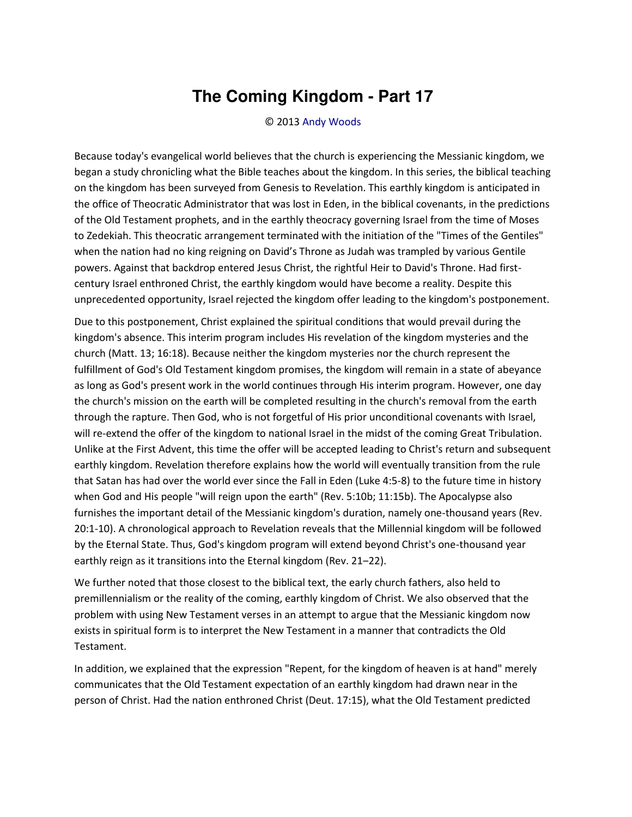## **The Coming Kingdom - Part 17**

© 2013 [Andy Woods](http://www.spiritandtruth.org/id/aw.htm)

Because today's evangelical world believes that the church is experiencing the Messianic kingdom, we began a study chronicling what the Bible teaches about the kingdom. In this series, the biblical teaching on the kingdom has been surveyed from Genesis to Revelation. This earthly kingdom is anticipated in the office of Theocratic Administrator that was lost in Eden, in the biblical covenants, in the predictions of the Old Testament prophets, and in the earthly theocracy governing Israel from the time of Moses to Zedekiah. This theocratic arrangement terminated with the initiation of the "Times of the Gentiles" when the nation had no king reigning on David's Throne as Judah was trampled by various Gentile powers. Against that backdrop entered Jesus Christ, the rightful Heir to David's Throne. Had firstcentury Israel enthroned Christ, the earthly kingdom would have become a reality. Despite this unprecedented opportunity, Israel rejected the kingdom offer leading to the kingdom's postponement.

Due to this postponement, Christ explained the spiritual conditions that would prevail during the kingdom's absence. This interim program includes His revelation of the kingdom mysteries and the church (Matt. 13; 16:18). Because neither the kingdom mysteries nor the church represent the fulfillment of God's Old Testament kingdom promises, the kingdom will remain in a state of abeyance as long as God's present work in the world continues through His interim program. However, one day the church's mission on the earth will be completed resulting in the church's removal from the earth through the rapture. Then God, who is not forgetful of His prior unconditional covenants with Israel, will re-extend the offer of the kingdom to national Israel in the midst of the coming Great Tribulation. Unlike at the First Advent, this time the offer will be accepted leading to Christ's return and subsequent earthly kingdom. Revelation therefore explains how the world will eventually transition from the rule that Satan has had over the world ever since the Fall in Eden (Luke 4:5-8) to the future time in history when God and His people "will reign upon the earth" (Rev. 5:10b; 11:15b). The Apocalypse also furnishes the important detail of the Messianic kingdom's duration, namely one-thousand years (Rev. 20:1-10). A chronological approach to Revelation reveals that the Millennial kingdom will be followed by the Eternal State. Thus, God's kingdom program will extend beyond Christ's one-thousand year earthly reign as it transitions into the Eternal kingdom (Rev. 21-22).

We further noted that those closest to the biblical text, the early church fathers, also held to premillennialism or the reality of the coming, earthly kingdom of Christ. We also observed that the problem with using New Testament verses in an attempt to argue that the Messianic kingdom now exists in spiritual form is to interpret the New Testament in a manner that contradicts the Old Testament.

In addition, we explained that the expression "Repent, for the kingdom of heaven is at hand" merely communicates that the Old Testament expectation of an earthly kingdom had drawn near in the person of Christ. Had the nation enthroned Christ (Deut. 17:15), what the Old Testament predicted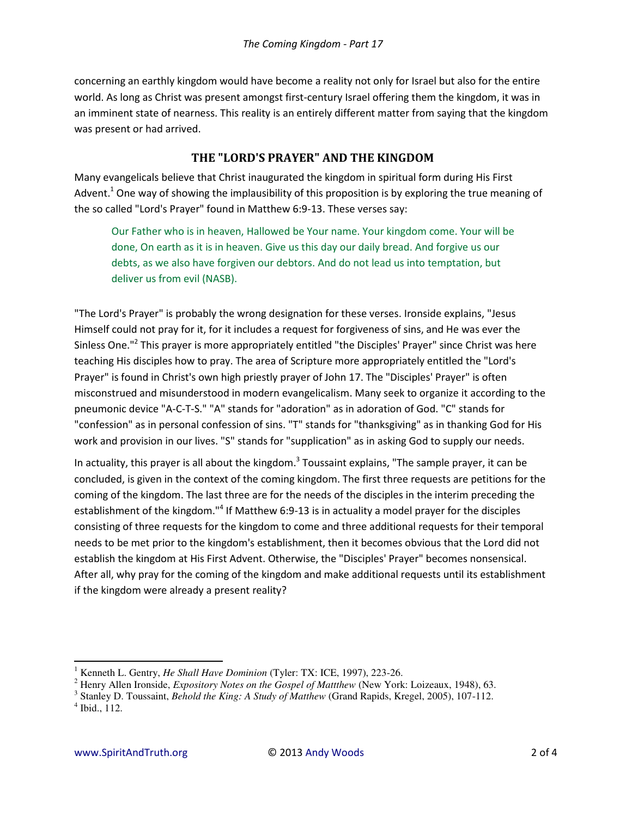concerning an earthly kingdom would have become a reality not only for Israel but also for the entire world. As long as Christ was present amongst first-century Israel offering them the kingdom, it was in an imminent state of nearness. This reality is an entirely different matter from saying that the kingdom was present or had arrived.

## **THE "LORD'S PRAYER" AND THE KINGDOM**

Many evangelicals believe that Christ inaugurated the kingdom in spiritual form during His First Advent.<sup>1</sup> One way of showing the implausibility of this proposition is by exploring the true meaning of the so called "Lord's Prayer" found in Matthew 6:9-13. These verses say:

Our Father who is in heaven, Hallowed be Your name. Your kingdom come. Your will be done, On earth as it is in heaven. Give us this day our daily bread. And forgive us our debts, as we also have forgiven our debtors. And do not lead us into temptation, but deliver us from evil (NASB).

"The Lord's Prayer" is probably the wrong designation for these verses. Ironside explains, "Jesus Himself could not pray for it, for it includes a request for forgiveness of sins, and He was ever the Sinless One."<sup>2</sup> This prayer is more appropriately entitled "the Disciples' Prayer" since Christ was here teaching His disciples how to pray. The area of Scripture more appropriately entitled the "Lord's Prayer" is found in Christ's own high priestly prayer of John 17. The "Disciples' Prayer" is often misconstrued and misunderstood in modern evangelicalism. Many seek to organize it according to the pneumonic device "A-C-T-S." "A" stands for "adoration" as in adoration of God. "C" stands for "confession" as in personal confession of sins. "T" stands for "thanksgiving" as in thanking God for His work and provision in our lives. "S" stands for "supplication" as in asking God to supply our needs.

In actuality, this prayer is all about the kingdom.<sup>3</sup> Toussaint explains, "The sample prayer, it can be concluded, is given in the context of the coming kingdom. The first three requests are petitions for the coming of the kingdom. The last three are for the needs of the disciples in the interim preceding the establishment of the kingdom."<sup>4</sup> If Matthew 6:9-13 is in actuality a model prayer for the disciples consisting of three requests for the kingdom to come and three additional requests for their temporal needs to be met prior to the kingdom's establishment, then it becomes obvious that the Lord did not establish the kingdom at His First Advent. Otherwise, the "Disciples' Prayer" becomes nonsensical. After all, why pray for the coming of the kingdom and make additional requests until its establishment if the kingdom were already a present reality?

 $\overline{a}$ 

<sup>1</sup> Kenneth L. Gentry, *He Shall Have Dominion* (Tyler: TX: ICE, 1997), 223-26.

<sup>2</sup> Henry Allen Ironside, *Expository Notes on the Gospel of Mattthew* (New York: Loizeaux, 1948), 63.

<sup>3</sup> Stanley D. Toussaint, *Behold the King: A Study of Matthew* (Grand Rapids, Kregel, 2005), 107-112. 4 Ibid., 112.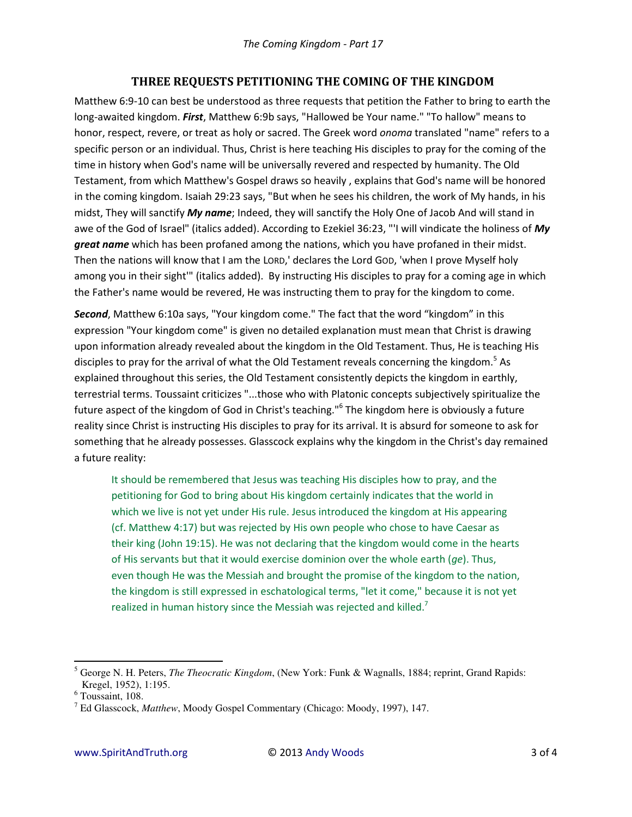## **THREE REQUESTS PETITIONING THE COMING OF THE KINGDOM**

Matthew 6:9-10 can best be understood as three requests that petition the Father to bring to earth the long-awaited kingdom. *First*, Matthew 6:9b says, "Hallowed be Your name." "To hallow" means to honor, respect, revere, or treat as holy or sacred. The Greek word *onoma* translated "name" refers to a specific person or an individual. Thus, Christ is here teaching His disciples to pray for the coming of the time in history when God's name will be universally revered and respected by humanity. The Old Testament, from which Matthew's Gospel draws so heavily , explains that God's name will be honored in the coming kingdom. Isaiah 29:23 says, "But when he sees his children, the work of My hands, in his midst, They will sanctify *My name*; Indeed, they will sanctify the Holy One of Jacob And will stand in awe of the God of Israel" (italics added). According to Ezekiel 36:23, "'I will vindicate the holiness of *My great name* which has been profaned among the nations, which you have profaned in their midst. Then the nations will know that I am the LORD,' declares the Lord GOD, 'when I prove Myself holy among you in their sight'" (italics added). By instructing His disciples to pray for a coming age in which the Father's name would be revered, He was instructing them to pray for the kingdom to come.

**Second**, Matthew 6:10a says, "Your kingdom come." The fact that the word "kingdom" in this expression "Your kingdom come" is given no detailed explanation must mean that Christ is drawing upon information already revealed about the kingdom in the Old Testament. Thus, He is teaching His disciples to pray for the arrival of what the Old Testament reveals concerning the kingdom.<sup>5</sup> As explained throughout this series, the Old Testament consistently depicts the kingdom in earthly, terrestrial terms. Toussaint criticizes "...those who with Platonic concepts subjectively spiritualize the future aspect of the kingdom of God in Christ's teaching."<sup>6</sup> The kingdom here is obviously a future reality since Christ is instructing His disciples to pray for its arrival. It is absurd for someone to ask for something that he already possesses. Glasscock explains why the kingdom in the Christ's day remained a future reality:

It should be remembered that Jesus was teaching His disciples how to pray, and the petitioning for God to bring about His kingdom certainly indicates that the world in which we live is not yet under His rule. Jesus introduced the kingdom at His appearing (cf. Matthew 4:17) but was rejected by His own people who chose to have Caesar as their king (John 19:15). He was not declaring that the kingdom would come in the hearts of His servants but that it would exercise dominion over the whole earth (*ge*). Thus, even though He was the Messiah and brought the promise of the kingdom to the nation, the kingdom is still expressed in eschatological terms, "let it come," because it is not yet realized in human history since the Messiah was rejected and killed.<sup>7</sup>

 $\overline{a}$ 

<sup>5</sup> George N. H. Peters, *The Theocratic Kingdom*, (New York: Funk & Wagnalls, 1884; reprint, Grand Rapids: Kregel, 1952), 1:195.

<sup>6</sup> Toussaint, 108.

<sup>7</sup> Ed Glasscock, *Matthew*, Moody Gospel Commentary (Chicago: Moody, 1997), 147.